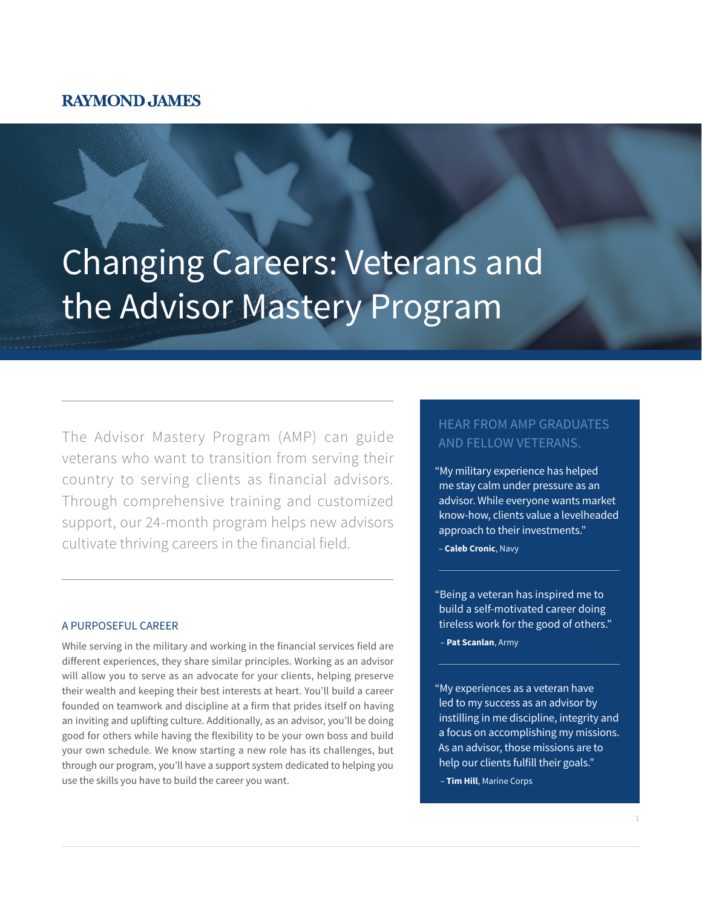## **RAYMOND JAMES**

# Changing Careers: Veterans and the Advisor Mastery Program

The Advisor Mastery Program (AMP) can guide veterans who want to transition from serving their country to serving clients as financial advisors. Through comprehensive training and customized support, our 24-month program helps new advisors cultivate thriving careers in the financial field.

#### A PURPOSEFUL CAREER

While serving in the military and working in the financial services field are different experiences, they share similar principles. Working as an advisor will allow you to serve as an advocate for your clients, helping preserve their wealth and keeping their best interests at heart. You'll build a career founded on teamwork and discipline at a firm that prides itself on having an inviting and uplifting culture. Additionally, as an advisor, you'll be doing good for others while having the flexibility to be your own boss and build your own schedule. We know starting a new role has its challenges, but through our program, you'll have a support system dedicated to helping you use the skills you have to build the career you want.

### HEAR FROM AMP GRADUATES AND FELLOW VETERANS.

"My military experience has helped me stay calm under pressure as an advisor. While everyone wants market know-how, clients value a levelheaded approach to their investments."

– **Caleb Cronic**, Navy

"Being a veteran has inspired me to build a self-motivated career doing tireless work for the good of others."

– **Pat Scanlan**, Army

- "My experiences as a veteran have led to my success as an advisor by instilling in me discipline, integrity and a focus on accomplishing my missions. As an advisor, those missions are to help our clients fulfill their goals."
- **Tim Hill**, Marine Corps